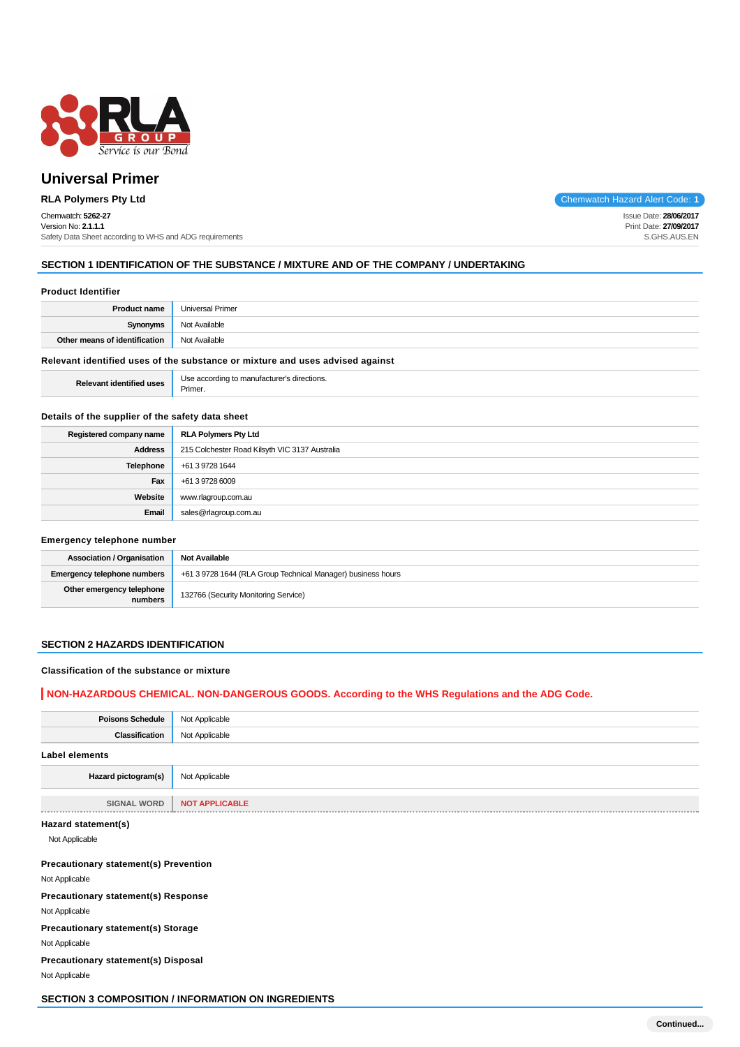

# Chemwatch: **5262-27**

Version No: **2.1.1.1** Safety Data Sheet according to WHS and ADG requirements

**RLA Polymers Pty Ltd** Code: 1

Issue Date: **28/06/2017** Print Date: **27/09/2017** S.GHS.AUS.EN

## **SECTION 1 IDENTIFICATION OF THE SUBSTANCE / MIXTURE AND OF THE COMPANY / UNDERTAKING**

#### **Product Identifier**

| <b>Product name</b>                                                           | <b>Universal Primer</b> |  |  |
|-------------------------------------------------------------------------------|-------------------------|--|--|
| <b>Synonyms</b>                                                               | Not Available           |  |  |
| Other means of identification                                                 | Not Available           |  |  |
| Relevant identified uses of the substance or mixture and uses advised against |                         |  |  |

**Relevant identified uses** Use according to manufacturer's directions. Primer.

#### **Details of the supplier of the safety data sheet**

| Registered company name | <b>RLA Polymers Pty Ltd</b>                    |  |  |
|-------------------------|------------------------------------------------|--|--|
| Address                 | 215 Colchester Road Kilsyth VIC 3137 Australia |  |  |
| Telephone               | +61 3 9728 1644                                |  |  |
| Fax                     | +61 3 9728 6009                                |  |  |
| Website                 | www.rlagroup.com.au                            |  |  |
| Email                   | sales@rlagroup.com.au                          |  |  |

#### **Emergency telephone number**

| <b>Association / Organisation</b>    | <b>Not Available</b>                                         |  |  |
|--------------------------------------|--------------------------------------------------------------|--|--|
| Emergency telephone numbers          | +61 3 9728 1644 (RLA Group Technical Manager) business hours |  |  |
| Other emergency telephone<br>numbers | 132766 (Security Monitoring Service)                         |  |  |

#### **SECTION 2 HAZARDS IDENTIFICATION**

#### **Classification of the substance or mixture**

#### **NON-HAZARDOUS CHEMICAL. NON-DANGEROUS GOODS. According to the WHS Regulations and the ADG Code.**

| <b>Poisons Schedule</b> | Not Applicable        |
|-------------------------|-----------------------|
| Classification          | Not Applicable        |
| Label elements          |                       |
| Hazard pictogram(s)     | Not Applicable        |
| <b>SIGNAL WORD</b>      | <b>NOT APPLICABLE</b> |
| Hazard statement(s)     |                       |

Not Applicable

#### **Precautionary statement(s) Prevention**

Not Applicable

**Precautionary statement(s) Response**

Not Applicable

## **Precautionary statement(s) Storage**

Not Applicable

**Precautionary statement(s) Disposal**

Not Applicable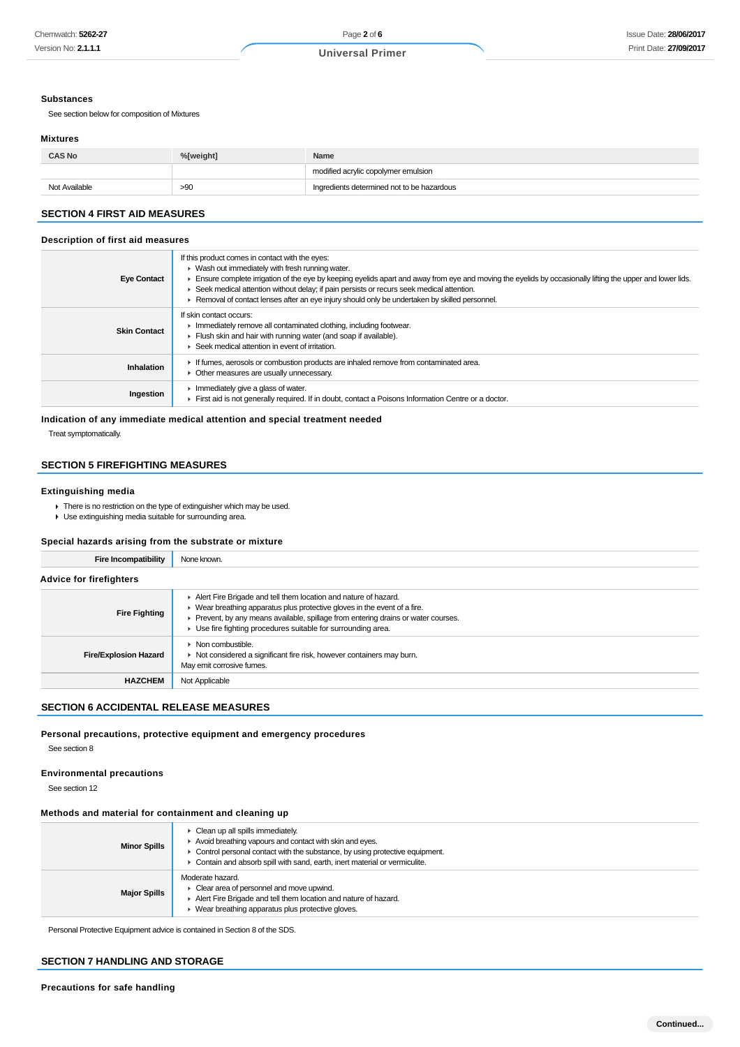#### **Substances**

See section below for composition of Mixtures

#### **Mixtures**

| <b>CAS No</b><br>%[weight]<br>Name |     |                                            |  |
|------------------------------------|-----|--------------------------------------------|--|
|                                    |     | modified acrylic copolymer emulsion        |  |
| Not Available                      | >90 | Ingredients determined not to be hazardous |  |

## **SECTION 4 FIRST AID MEASURES**

#### **Description of first aid measures**

| <b>Eye Contact</b>  | If this product comes in contact with the eyes:<br>$\blacktriangleright$ Wash out immediately with fresh running water.<br>Ensure complete irrigation of the eye by keeping eyelids apart and away from eye and moving the eyelids by occasionally lifting the upper and lower lids.<br>► Seek medical attention without delay; if pain persists or recurs seek medical attention.<br>► Removal of contact lenses after an eye injury should only be undertaken by skilled personnel. |
|---------------------|---------------------------------------------------------------------------------------------------------------------------------------------------------------------------------------------------------------------------------------------------------------------------------------------------------------------------------------------------------------------------------------------------------------------------------------------------------------------------------------|
| <b>Skin Contact</b> | If skin contact occurs:<br>In mediately remove all contaminated clothing, including footwear.<br>Flush skin and hair with running water (and soap if available).<br>▶ Seek medical attention in event of irritation.                                                                                                                                                                                                                                                                  |
| Inhalation          | If fumes, aerosols or combustion products are inhaled remove from contaminated area.<br>• Other measures are usually unnecessary.                                                                                                                                                                                                                                                                                                                                                     |
| Ingestion           | $\blacktriangleright$ Immediately give a glass of water.<br>First aid is not generally required. If in doubt, contact a Poisons Information Centre or a doctor.                                                                                                                                                                                                                                                                                                                       |

**Indication of any immediate medical attention and special treatment needed**

Treat symptomatically.

# **SECTION 5 FIREFIGHTING MEASURES**

#### **Extinguishing media**

- ▶ There is no restriction on the type of extinguisher which may be used.
- Use extinguishing media suitable for surrounding area.

#### **Special hazards arising from the substrate or mixture**

| Fire Incompatibility           | None known.                                                                                                                                                                                                                                                                                                           |  |  |
|--------------------------------|-----------------------------------------------------------------------------------------------------------------------------------------------------------------------------------------------------------------------------------------------------------------------------------------------------------------------|--|--|
| <b>Advice for firefighters</b> |                                                                                                                                                                                                                                                                                                                       |  |  |
| <b>Fire Fighting</b>           | Alert Fire Brigade and tell them location and nature of hazard.<br>$\blacktriangleright$ Wear breathing apparatus plus protective gloves in the event of a fire.<br>Prevent, by any means available, spillage from entering drains or water courses.<br>▶ Use fire fighting procedures suitable for surrounding area. |  |  |
| <b>Fire/Explosion Hazard</b>   | $\triangleright$ Non combustible.<br>• Not considered a significant fire risk, however containers may burn.<br>May emit corrosive fumes.                                                                                                                                                                              |  |  |
| <b>HAZCHEM</b>                 | Not Applicable                                                                                                                                                                                                                                                                                                        |  |  |

#### **SECTION 6 ACCIDENTAL RELEASE MEASURES**

# **Personal precautions, protective equipment and emergency procedures**

See section 8

#### **Environmental precautions**

See section 12

#### **Methods and material for containment and cleaning up**

| <b>Minor Spills</b> | Clean up all spills immediately.<br>Avoid breathing vapours and contact with skin and eyes.<br>$\triangleright$ Control personal contact with the substance, by using protective equipment.<br>Contain and absorb spill with sand, earth, inert material or vermiculite. |  |
|---------------------|--------------------------------------------------------------------------------------------------------------------------------------------------------------------------------------------------------------------------------------------------------------------------|--|
| <b>Major Spills</b> | Moderate hazard.<br>Clear area of personnel and move upwind.<br>Alert Fire Brigade and tell them location and nature of hazard.<br>Wear breathing apparatus plus protective gloves.                                                                                      |  |

Personal Protective Equipment advice is contained in Section 8 of the SDS.

## **SECTION 7 HANDLING AND STORAGE**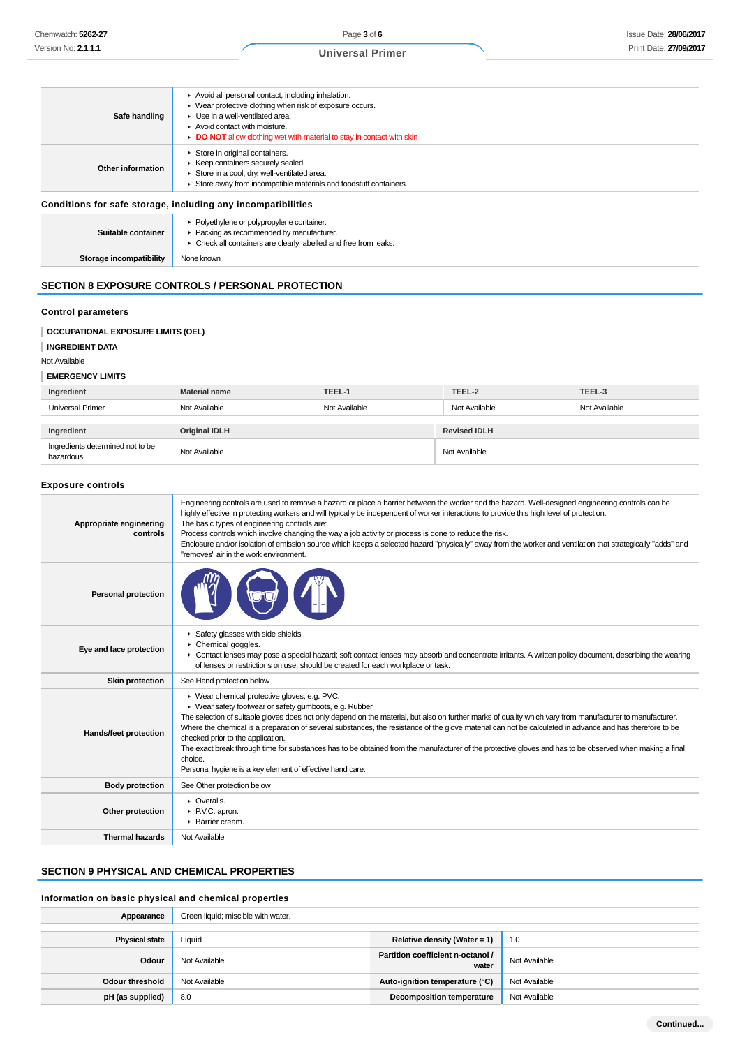|   |   | <b>Universal Primer</b> |  |
|---|---|-------------------------|--|
|   |   |                         |  |
|   |   |                         |  |
| . | . |                         |  |

| Safe handling                                                | Avoid all personal contact, including inhalation.<br>• Wear protective clothing when risk of exposure occurs.<br>▶ Use in a well-ventilated area.<br>Avoid contact with moisture.<br>DO NOT allow clothing wet with material to stay in contact with skin |  |  |
|--------------------------------------------------------------|-----------------------------------------------------------------------------------------------------------------------------------------------------------------------------------------------------------------------------------------------------------|--|--|
| Other information                                            | Store in original containers.<br>▶ Keep containers securely sealed.<br>Store in a cool, dry, well-ventilated area.<br>Store away from incompatible materials and foodstuff containers.                                                                    |  |  |
| Conditions for safe storage, including any incompatibilities |                                                                                                                                                                                                                                                           |  |  |

| Suitable container      | • Polyethylene or polypropylene container.<br>▶ Packing as recommended by manufacturer.<br>• Check all containers are clearly labelled and free from leaks. |
|-------------------------|-------------------------------------------------------------------------------------------------------------------------------------------------------------|
| Storage incompatibility | None known                                                                                                                                                  |

## **SECTION 8 EXPOSURE CONTROLS / PERSONAL PROTECTION**

# **Control parameters**

#### **OCCUPATIONAL EXPOSURE LIMITS (OEL)**

```
INGREDIENT DATA
```
#### Not Available

#### **EMERGENCY LIMITS**

| Ingredient                                    | <b>Material name</b> | TEEL-1        | TEEL-2              | TEEL-3        |
|-----------------------------------------------|----------------------|---------------|---------------------|---------------|
| <b>Universal Primer</b>                       | Not Available        | Not Available | Not Available       | Not Available |
| Ingredient                                    | <b>Original IDLH</b> |               | <b>Revised IDLH</b> |               |
| Ingredients determined not to be<br>hazardous | Not Available        |               | Not Available       |               |

#### **Exposure controls**

| Appropriate engineering<br>controls | Engineering controls are used to remove a hazard or place a barrier between the worker and the hazard. Well-designed engineering controls can be<br>highly effective in protecting workers and will typically be independent of worker interactions to provide this high level of protection.<br>The basic types of engineering controls are:<br>Process controls which involve changing the way a job activity or process is done to reduce the risk.<br>Enclosure and/or isolation of emission source which keeps a selected hazard "physically" away from the worker and ventilation that strategically "adds" and<br>"removes" air in the work environment.                                          |
|-------------------------------------|----------------------------------------------------------------------------------------------------------------------------------------------------------------------------------------------------------------------------------------------------------------------------------------------------------------------------------------------------------------------------------------------------------------------------------------------------------------------------------------------------------------------------------------------------------------------------------------------------------------------------------------------------------------------------------------------------------|
| <b>Personal protection</b>          |                                                                                                                                                                                                                                                                                                                                                                                                                                                                                                                                                                                                                                                                                                          |
| Eye and face protection             | Safety glasses with side shields.<br>▶ Chemical goggles.<br>• Contact lenses may pose a special hazard; soft contact lenses may absorb and concentrate irritants. A written policy document, describing the wearing<br>of lenses or restrictions on use, should be created for each workplace or task.                                                                                                                                                                                                                                                                                                                                                                                                   |
| <b>Skin protection</b>              | See Hand protection below                                                                                                                                                                                                                                                                                                                                                                                                                                                                                                                                                                                                                                                                                |
| Hands/feet protection               | ▶ Wear chemical protective gloves, e.g. PVC.<br>• Wear safety footwear or safety gumboots, e.g. Rubber<br>The selection of suitable gloves does not only depend on the material, but also on further marks of quality which vary from manufacturer to manufacturer.<br>Where the chemical is a preparation of several substances, the resistance of the glove material can not be calculated in advance and has therefore to be<br>checked prior to the application.<br>The exact break through time for substances has to be obtained from the manufacturer of the protective gloves and has to be observed when making a final<br>choice.<br>Personal hygiene is a key element of effective hand care. |
| <b>Body protection</b>              | See Other protection below                                                                                                                                                                                                                                                                                                                                                                                                                                                                                                                                                                                                                                                                               |
| Other protection                    | $\triangleright$ Overalls.<br>P.V.C. apron.<br>▶ Barrier cream.                                                                                                                                                                                                                                                                                                                                                                                                                                                                                                                                                                                                                                          |
| <b>Thermal hazards</b>              | Not Available                                                                                                                                                                                                                                                                                                                                                                                                                                                                                                                                                                                                                                                                                            |

## **SECTION 9 PHYSICAL AND CHEMICAL PROPERTIES**

# **Information on basic physical and chemical properties**

| Appearance             | Green liquid; miscible with water. |                                            |               |
|------------------------|------------------------------------|--------------------------------------------|---------------|
|                        |                                    |                                            |               |
| <b>Physical state</b>  | Liquid                             | Relative density (Water = $1$ )            | 1.0           |
| Odour                  | Not Available                      | Partition coefficient n-octanol /<br>water | Not Available |
| <b>Odour threshold</b> | Not Available                      | Auto-ignition temperature (°C)             | Not Available |
| pH (as supplied)       | 8.0                                | <b>Decomposition temperature</b>           | Not Available |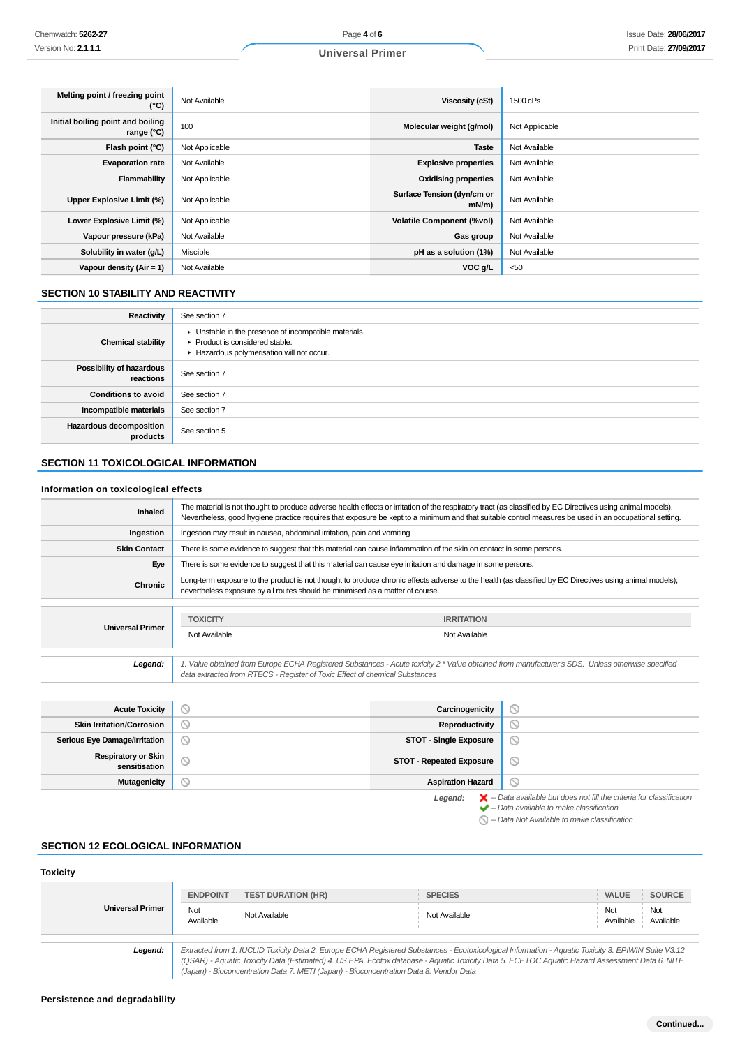| Melting point / freezing point<br>(°C)            | Not Available  | Viscosity (cSt)                        | 1500 cPs       |
|---------------------------------------------------|----------------|----------------------------------------|----------------|
| Initial boiling point and boiling<br>range $(°C)$ | 100            | Molecular weight (g/mol)               | Not Applicable |
| Flash point $(°C)$                                | Not Applicable | <b>Taste</b>                           | Not Available  |
| <b>Evaporation rate</b>                           | Not Available  | <b>Explosive properties</b>            | Not Available  |
| Flammability                                      | Not Applicable | <b>Oxidising properties</b>            | Not Available  |
| Upper Explosive Limit (%)                         | Not Applicable | Surface Tension (dyn/cm or<br>$mN/m$ ) | Not Available  |
| Lower Explosive Limit (%)                         | Not Applicable | <b>Volatile Component (%vol)</b>       | Not Available  |
| Vapour pressure (kPa)                             | Not Available  | Gas group                              | Not Available  |
| Solubility in water (g/L)                         | Miscible       | pH as a solution (1%)                  | Not Available  |
| Vapour density $(Air = 1)$                        | Not Available  | VOC g/L                                | $50$           |

## **SECTION 10 STABILITY AND REACTIVITY**

| Reactivity                                   | See section 7                                                                                                                        |
|----------------------------------------------|--------------------------------------------------------------------------------------------------------------------------------------|
| <b>Chemical stability</b>                    | • Unstable in the presence of incompatible materials.<br>▶ Product is considered stable.<br>Hazardous polymerisation will not occur. |
| <b>Possibility of hazardous</b><br>reactions | See section 7                                                                                                                        |
| <b>Conditions to avoid</b>                   | See section 7                                                                                                                        |
| Incompatible materials                       | See section 7                                                                                                                        |
| <b>Hazardous decomposition</b><br>products   | See section 5                                                                                                                        |

# **SECTION 11 TOXICOLOGICAL INFORMATION**

## **Information on toxicological effects**

| Inhaled                 | The material is not thought to produce adverse health effects or irritation of the respiratory tract (as classified by EC Directives using animal models).<br>Nevertheless, good hygiene practice requires that exposure be kept to a minimum and that suitable control measures be used in an occupational setting. |                                    |  |
|-------------------------|----------------------------------------------------------------------------------------------------------------------------------------------------------------------------------------------------------------------------------------------------------------------------------------------------------------------|------------------------------------|--|
| Ingestion               | Ingestion may result in nausea, abdominal irritation, pain and vomiting                                                                                                                                                                                                                                              |                                    |  |
| <b>Skin Contact</b>     | There is some evidence to suggest that this material can cause inflammation of the skin on contact in some persons.                                                                                                                                                                                                  |                                    |  |
| Eye                     | There is some evidence to suggest that this material can cause eye irritation and damage in some persons.                                                                                                                                                                                                            |                                    |  |
| Chronic                 | Long-term exposure to the product is not thought to produce chronic effects adverse to the health (as classified by EC Directives using animal models);<br>nevertheless exposure by all routes should be minimised as a matter of course.                                                                            |                                    |  |
| <b>Universal Primer</b> | <b>TOXICITY</b><br>Not Available                                                                                                                                                                                                                                                                                     | <b>IRRITATION</b><br>Not Available |  |
|                         |                                                                                                                                                                                                                                                                                                                      |                                    |  |
| Legend:                 | 1. Value obtained from Europe ECHA Registered Substances - Acute toxicity 2.* Value obtained from manufacturer's SDS. Unless otherwise specified<br>data extracted from RTECS - Register of Toxic Effect of chemical Substances                                                                                      |                                    |  |
|                         |                                                                                                                                                                                                                                                                                                                      |                                    |  |

| TIVULU TUAIVILY                             |                                       | <b><u>ouronrogonion</u></b>     |                                                                                                                                                                                                                     |
|---------------------------------------------|---------------------------------------|---------------------------------|---------------------------------------------------------------------------------------------------------------------------------------------------------------------------------------------------------------------|
| <b>Skin Irritation/Corrosion</b>            | $\mathrel{\color{red}{{\mathcal S}}}$ | Reproductivity                  | N                                                                                                                                                                                                                   |
| <b>Serious Eye Damage/Irritation</b>        | $\circ$                               | <b>STOT - Single Exposure</b>   | $\circlearrowright$                                                                                                                                                                                                 |
| <b>Respiratory or Skin</b><br>sensitisation | $\circ$                               | <b>STOT - Repeated Exposure</b> | $\circ$                                                                                                                                                                                                             |
| <b>Mutagenicity</b>                         | $\circ$                               | <b>Aspiration Hazard</b>        | ∾                                                                                                                                                                                                                   |
|                                             |                                       | Legend:                         | $\blacktriangleright$ - Data available but does not fill the criteria for classification<br>$\blacktriangleright$ - Data available to make classification<br>$\bigcirc$ - Data Not Available to make classification |

## **SECTION 12 ECOLOGICAL INFORMATION**

#### **Toxicity Universal Primer ENDPOINT TEST DURATION (HR) SPECIES VALUE SOURCE** Not<br>Available Available Not Available Not Available Not Available Not Available **Legend:** Extracted from 1. IUCLID Toxicity Data 2. Europe ECHA Registered Substances - Ecotoxicological Information - Aquatic Toxicity 3. EPIWIN Suite V3.12 (QSAR) - Aquatic Toxicity Data (Estimated) 4. US EPA, Ecotox database - Aquatic Toxicity Data 5. ECETOC Aquatic Hazard Assessment Data 6. NITE (Japan) - Bioconcentration Data 7. METI (Japan) - Bioconcentration Data 8. Vendor Data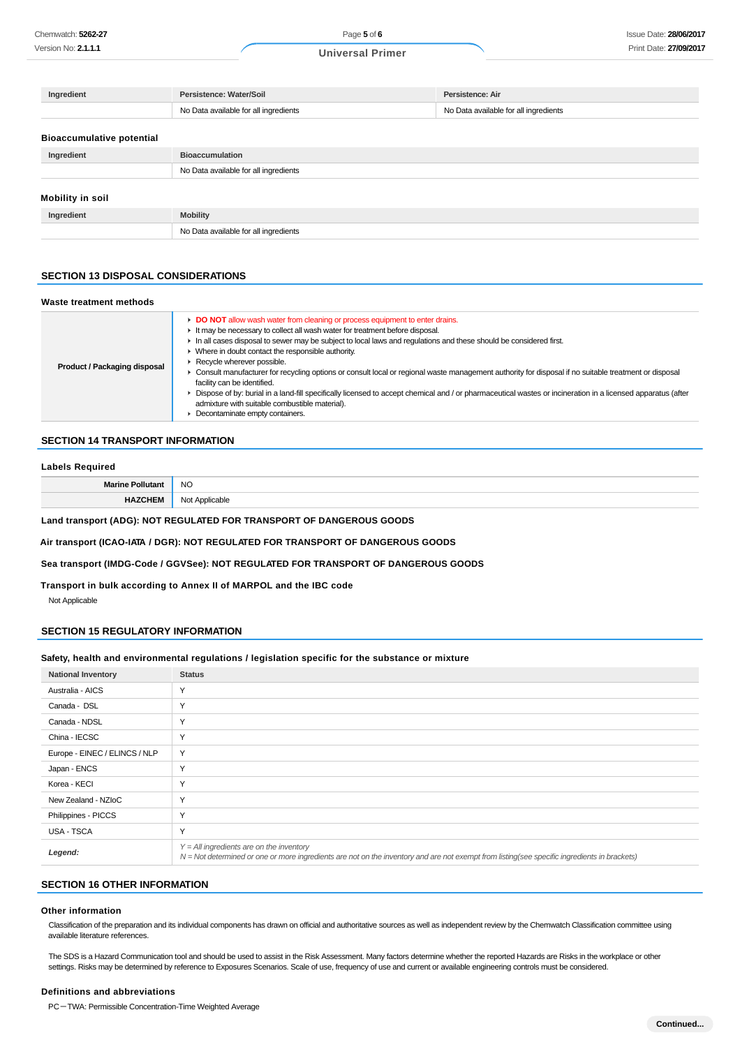| Ingredient                       | Persistence: Water/Soil               | Persistence: Air                      |
|----------------------------------|---------------------------------------|---------------------------------------|
|                                  | No Data available for all ingredients | No Data available for all ingredients |
|                                  |                                       |                                       |
| <b>Bioaccumulative potential</b> |                                       |                                       |
| Ingredient                       | <b>Bioaccumulation</b>                |                                       |
|                                  | No Data available for all ingredients |                                       |
|                                  |                                       |                                       |
| Mobility in soil                 |                                       |                                       |
| Ingredient                       | <b>Mobility</b>                       |                                       |
|                                  | No Data available for all ingredients |                                       |

#### **SECTION 13 DISPOSAL CONSIDERATIONS**

| Waste treatment methods      |                                                                                                                                                                                                                                                                                                                                                                                                                                                                                                                                                                                                                                                                                                                                                                                                                          |
|------------------------------|--------------------------------------------------------------------------------------------------------------------------------------------------------------------------------------------------------------------------------------------------------------------------------------------------------------------------------------------------------------------------------------------------------------------------------------------------------------------------------------------------------------------------------------------------------------------------------------------------------------------------------------------------------------------------------------------------------------------------------------------------------------------------------------------------------------------------|
| Product / Packaging disposal | • DO NOT allow wash water from cleaning or process equipment to enter drains.<br>It may be necessary to collect all wash water for treatment before disposal.<br>In all cases disposal to sewer may be subject to local laws and requlations and these should be considered first.<br>• Where in doubt contact the responsible authority.<br>Recycle wherever possible.<br>• Consult manufacturer for recycling options or consult local or regional waste management authority for disposal if no suitable treatment or disposal<br>facility can be identified.<br>► Dispose of by: burial in a land-fill specifically licensed to accept chemical and / or pharmaceutical wastes or incineration in a licensed apparatus (after<br>admixture with suitable combustible material).<br>• Decontaminate empty containers. |

#### **SECTION 14 TRANSPORT INFORMATION**

#### **Labels Required**

|           | - NC<br>___        |
|-----------|--------------------|
| _________ | .<br>$\sim$ $\sim$ |

## **Land transport (ADG): NOT REGULATED FOR TRANSPORT OF DANGEROUS GOODS**

#### **Air transport (ICAO-IATA / DGR): NOT REGULATED FOR TRANSPORT OF DANGEROUS GOODS**

## **Sea transport (IMDG-Code / GGVSee): NOT REGULATED FOR TRANSPORT OF DANGEROUS GOODS**

**Transport in bulk according to Annex II of MARPOL and the IBC code**

Not Applicable

#### **SECTION 15 REGULATORY INFORMATION**

#### **Safety, health and environmental regulations / legislation specific for the substance or mixture**

| <b>National Inventory</b>     | <b>Status</b>                                                                                                                                                                              |
|-------------------------------|--------------------------------------------------------------------------------------------------------------------------------------------------------------------------------------------|
| Australia - AICS              | $\checkmark$                                                                                                                                                                               |
| Canada - DSL                  | $\vee$                                                                                                                                                                                     |
| Canada - NDSL                 | Y                                                                                                                                                                                          |
| China - IECSC                 | Υ                                                                                                                                                                                          |
| Europe - EINEC / ELINCS / NLP | Y                                                                                                                                                                                          |
| Japan - ENCS                  | Υ                                                                                                                                                                                          |
| Korea - KECI                  | Υ                                                                                                                                                                                          |
| New Zealand - NZIoC           | Y                                                                                                                                                                                          |
| Philippines - PICCS           | Y                                                                                                                                                                                          |
| USA - TSCA                    | Υ                                                                                                                                                                                          |
| Legend:                       | $Y = All$ ingredients are on the inventory<br>N = Not determined or one or more ingredients are not on the inventory and are not exempt from listing(see specific ingredients in brackets) |

#### **SECTION 16 OTHER INFORMATION**

#### **Other information**

Classification of the preparation and its individual components has drawn on official and authoritative sources as well as independent review by the Chemwatch Classification committee using available literature references.

The SDS is a Hazard Communication tool and should be used to assist in the Risk Assessment. Many factors determine whether the reported Hazards are Risks in the workplace or other settings. Risks may be determined by reference to Exposures Scenarios. Scale of use, frequency of use and current or available engineering controls must be considered.

#### **Definitions and abbreviations**

PC-TWA: Permissible Concentration-Time Weighted Average